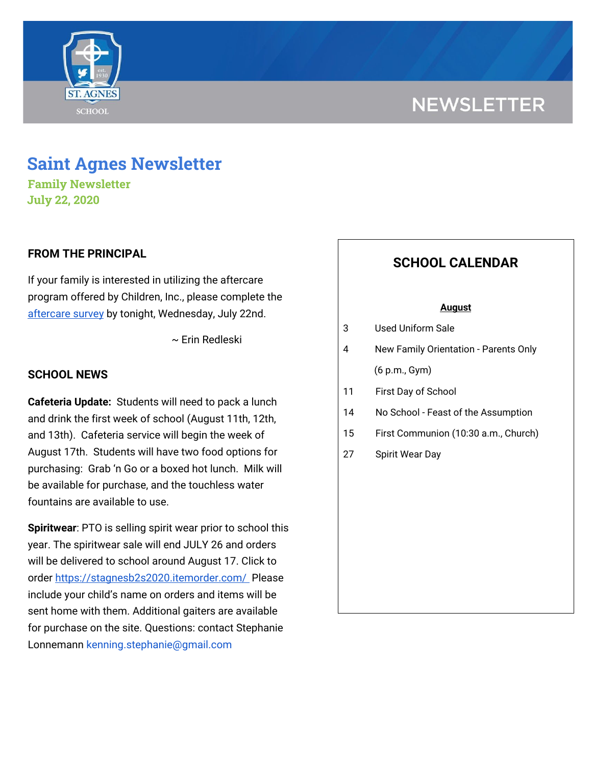



**Family Newsletter July 22, 2020**

**ST. AGNES** 

**SCHOOL** 

## **FROM THE PRINCIPAL**

If your family is interested in utilizing the aftercare program offered by Children, Inc., please complete the [aftercare](http://go.sparkpostmail.com/f/a/JSyDVwQYlNQkewZIFORalg~~/AABDuQA~/RgRg-FsfP0RvaHR0cHM6Ly9kb2NzLmdvb2dsZS5jb20vZm9ybXMvZC9lLzFGQUlwUUxTZUFjS3RodkMtX0RJUV9pci1aenZONGEyUTBBaDh0UEdScTBwai1fZWVBV2xGbkxnL3ZpZXdmb3JtP3VzcD1zZl9saW5rVwNzcGNCCgAhH9YVX7k8nyRSGGVyZWRsZXNraUBzYWludGFnbmVzLmNvbVgEAAAAAA~~) survey by tonight, Wednesday, July 22nd.

~ Erin Redleski

### **SCHOOL NEWS**

**Cafeteria Update:** Students will need to pack a lunch and drink the first week of school (August 11th, 12th, and 13th). Cafeteria service will begin the week of August 17th. Students will have two food options for purchasing: Grab 'n Go or a boxed hot lunch. Milk will be available for purchase, and the touchless water fountains are available to use.

**Spiritwear**: PTO is selling spirit wear prior to school this year. The spiritwear sale will end JULY 26 and orders will be delivered to school around August 17. Click to order <https://stagnesb2s2020.itemorder.com/> Please include your child's name on orders and items will be sent home with them. Additional gaiters are available for purchase on the site. Questions: contact Stephanie Lonnemann kenning.stephanie@gmail.com

# **SCHOOL CALENDAR**

#### **August**

- 3 Used Uniform Sale
- 4 New Family Orientation Parents Only (6 p.m., Gym)
- 11 First Day of School
- 14 No School Feast of the Assumption
- 15 First Communion (10:30 a.m., Church)
- 27 Spirit Wear Day